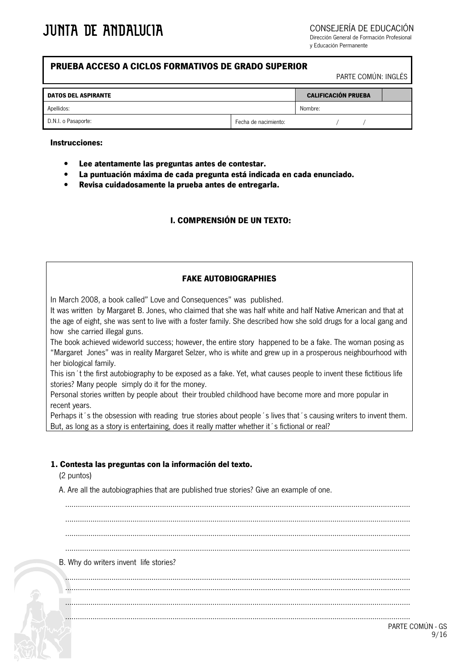CONSEJERÍA DE EDUCACIÓN

Dirección General de Formación Profesional v Educación Permanente

## PRUEBA ACCESO A CICLOS FORMATIVOS DE GRADO SUPERIOR

PARTE COMÚN: INGLÉS

| <b>DATOS DEL ASPIRANTE</b> |                      | <b>CALIFICACIÓN PRUEBA</b> |  |  |
|----------------------------|----------------------|----------------------------|--|--|
| Apellidos:                 |                      | Nombre:                    |  |  |
| D.N.I. o Pasaporte:        | Fecha de nacimiento: |                            |  |  |

#### **Instrucciones:**

- Lee atentamente las preguntas antes de contestar.
- La puntuación máxima de cada pregunta está indicada en cada enunciado.
- Revisa cuidadosamente la prueba antes de entregarla.

## **L COMPRENSIÓN DE UN TEXTO:**

#### **FAKE AUTOBIOGRAPHIES**

In March 2008, a book called" Love and Consequences" was published.

It was written by Margaret B, Jones, who claimed that she was half white and half Native American and that at the age of eight, she was sent to live with a foster family. She described how she sold drugs for a local gang and how she carried illegal guns.

The book achieved wideworld success; however, the entire story happened to be a fake. The woman posing as "Margaret Jones" was in reality Margaret Selzer, who is white and grew up in a prosperous neighbourhood with her biological family.

This isn 't the first autobiography to be exposed as a fake. Yet, what causes people to invent these fictitious life stories? Many people simply do it for the money.

Personal stories written by people about their troubled childhood have become more and more popular in recent years.

Perhaps it's the obsession with reading true stories about people's lives that's causing writers to invent them. But, as long as a story is entertaining, does it really matter whether it's fictional or real?

#### 1. Contesta las preguntas con la información del texto.

(2 puntos)

A. Are all the autobiographies that are published true stories? Give an example of one.

B. Why do writers invent life stories?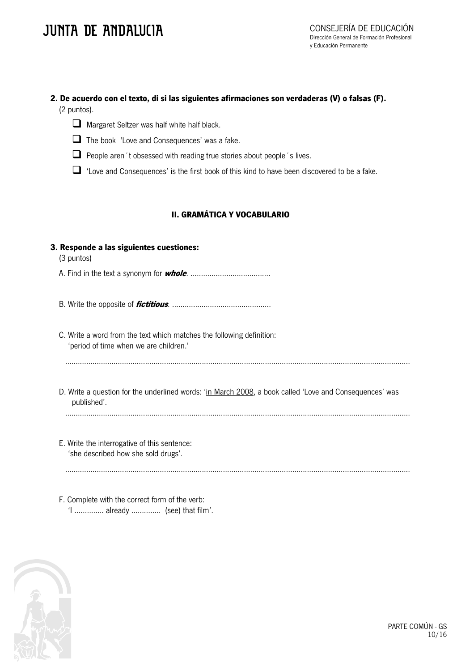## 2. De acuerdo con el texto, di si las siguientes afirmaciones son verdaderas (V) o falsas (F). (2 puntos).



Margaret Seltzer was half white half black.

- The book 'Love and Consequences' was a fake.
- People aren 't obsessed with reading true stories about people 's lives.

 $\Box$  'Love and Consequences' is the first book of this kind to have been discovered to be a fake.

## **II. GRAMÁTICA Y VOCABULARIO**

## 3. Responde a las siguientes cuestiones:

(3 puntos)

- 
- 

C. Write a word from the text which matches the following definition: 'period of time when we are children.'

- D. Write a question for the underlined words: 'in March 2008, a book called 'Love and Consequences' was published'.
	-
- E. Write the interrogative of this sentence: 'she described how she sold drugs'.

F. Complete with the correct form of the verb: '1 .............. already .............. (see) that film'.

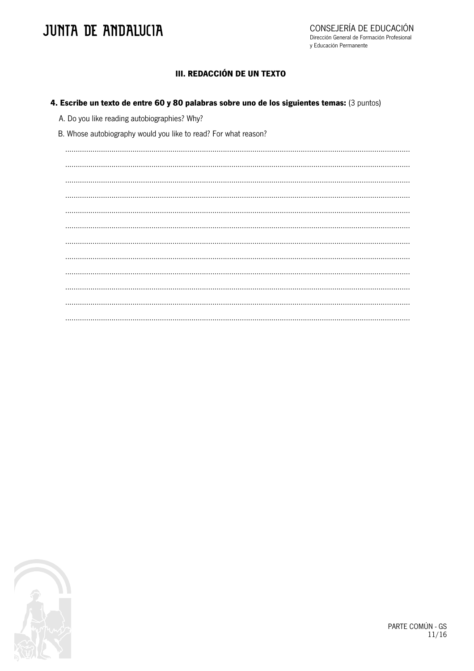## **JUNTA DE ANDALUCIA**

## III. REDACCIÓN DE UN TEXTO

#### 4. Escribe un texto de entre 60 y 80 palabras sobre uno de los siguientes temas: (3 puntos)

A. Do you like reading autobiographies? Why?

B. Whose autobiography would you like to read? For what reason?



PARTE COMÚN - GS  $11/16$